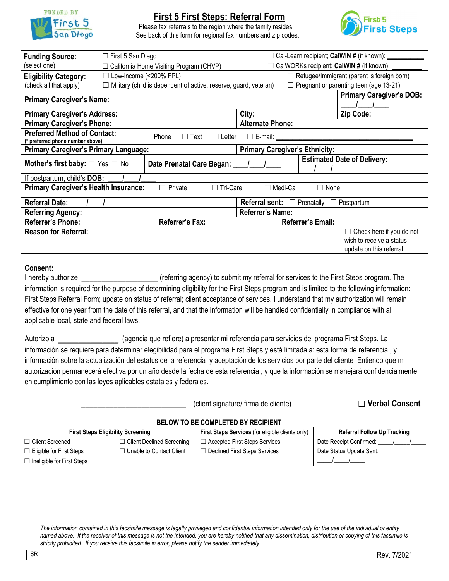

## **First 5 First Steps: Referral Form**

Please fax referrals to the region where the family resides. See back of this form for regional fax numbers and zip codes.



| <b>Funding Source:</b>                                                                                                                                 | $\Box$ First 5 San Diego |                                                                  | □ Cal-Learn recipient; CalWIN # (if known): _____ |                                    |                                 |  |  |
|--------------------------------------------------------------------------------------------------------------------------------------------------------|--------------------------|------------------------------------------------------------------|---------------------------------------------------|------------------------------------|---------------------------------|--|--|
| (select one)                                                                                                                                           |                          | $\Box$ California Home Visiting Program (CHVP)                   | CalWORKs recipient; CalWIN # (if known): ______   |                                    |                                 |  |  |
| <b>Eligibility Category:</b>                                                                                                                           | Low-income (<200% FPL)   |                                                                  | $\Box$ Refugee/Immigrant (parent is foreign born) |                                    |                                 |  |  |
| (check all that apply)                                                                                                                                 | $\Box$                   | Military (child is dependent of active, reserve, guard, veteran) | $\Box$ Pregnant or parenting teen (age 13-21)     |                                    |                                 |  |  |
| <b>Primary Caregiver's Name:</b>                                                                                                                       |                          | <b>Primary Caregiver's DOB:</b>                                  |                                                   |                                    |                                 |  |  |
| <b>Primary Caregiver's Address:</b>                                                                                                                    |                          | City:                                                            |                                                   | Zip Code:                          |                                 |  |  |
| <b>Primary Caregiver's Phone:</b>                                                                                                                      |                          | <b>Alternate Phone:</b>                                          |                                                   |                                    |                                 |  |  |
| <b>Preferred Method of Contact:</b><br>$\Box$ Phone<br>$\square$ E-mail: $\square$<br>$\Box$ Text<br>$\Box$ Letter<br>(* preferred phone number above) |                          |                                                                  |                                                   |                                    |                                 |  |  |
| <b>Primary Caregiver's Primary Language:</b>                                                                                                           |                          |                                                                  | <b>Primary Caregiver's Ethnicity:</b>             |                                    |                                 |  |  |
| <b>Mother's first baby:</b> $\Box$ Yes $\Box$ No<br>Date Prenatal Care Began:                                                                          |                          |                                                                  |                                                   | <b>Estimated Date of Delivery:</b> |                                 |  |  |
| If postpartum, child's DOB:                                                                                                                            |                          |                                                                  |                                                   |                                    |                                 |  |  |
| <b>Primary Caregiver's Health Insurance:</b><br>$\Box$ Private<br>□ Tri-Care<br>$\Box$ Medi-Cal<br>$\Box$ None                                         |                          |                                                                  |                                                   |                                    |                                 |  |  |
| <b>Referral Date:</b>                                                                                                                                  |                          | <b>Referral sent:</b> $\Box$ Prenatally<br>$\Box$ Postpartum     |                                                   |                                    |                                 |  |  |
| <b>Referring Agency:</b>                                                                                                                               |                          |                                                                  | <b>Referrer's Name:</b>                           |                                    |                                 |  |  |
| <b>Referrer's Phone:</b>                                                                                                                               |                          | Referrer's Fax:                                                  |                                                   | Referrer's Email:                  |                                 |  |  |
| <b>Reason for Referral:</b>                                                                                                                            |                          |                                                                  |                                                   |                                    | $\Box$ Check here if you do not |  |  |
|                                                                                                                                                        |                          |                                                                  |                                                   |                                    | wish to receive a status        |  |  |
|                                                                                                                                                        |                          |                                                                  |                                                   |                                    | update on this referral.        |  |  |

### **Consent:**

I hereby authorize **Exercise** (referring agency) to submit my referral for services to the First Steps program. The information is required for the purpose of determining eligibility for the First Steps program and is limited to the following information: First Steps Referral Form; update on status of referral; client acceptance of services. I understand that my authorization will remain effective for one year from the date of this referral, and that the information will be handled confidentially in compliance with all applicable local, state and federal laws.

Autorizo a **El programa First Steps.** La *(agencia que refiere) a presentar mi referencia para servicios del programa First Steps. La* información se requiere para determinar elegibilidad para el programa First Steps y está limitada a: esta forma de referencia , y información sobre la actualización del estatus de la referencia y aceptación de los servicios por parte del cliente Entiendo que mi autorización permanecerá efectiva por un año desde la fecha de esta referencia , y que la información se manejará confidencialmente en cumplimiento con las leyes aplicables estatales y federales.

\_\_\_\_\_\_\_\_\_\_\_\_\_\_\_\_\_\_\_\_\_\_\_\_\_\_ (client signature/ firma de cliente) ☐ **Verbal Consent**

| <b>BELOW TO BE COMPLETED BY RECIPIENT</b>                          |                                  |                                                         |                                    |  |  |  |  |
|--------------------------------------------------------------------|----------------------------------|---------------------------------------------------------|------------------------------------|--|--|--|--|
| <b>First Steps Eligibility Screening</b>                           |                                  | <b>First Steps Services</b> (for eligible clients only) | <b>Referral Follow Up Tracking</b> |  |  |  |  |
| $\Box$ Client Screened                                             | $\Box$ Client Declined Screening | $\Box$ Accepted First Steps Services                    | Date Receipt Confirmed:            |  |  |  |  |
| $\Box$ Unable to Contact Client<br>$\Box$ Eligible for First Steps |                                  | □ Declined First Steps Services                         | Date Status Update Sent:           |  |  |  |  |
| $\Box$ Ineligible for First Steps                                  |                                  |                                                         |                                    |  |  |  |  |

The information contained in this facsimile message is legally privileged and confidential information intended only for the use of the individual or entity *named above. If the receiver of this message is not the intended, you are hereby notified that any dissemination, distribution or copying of this facsimile is strictly prohibited. If you receive this facsimile in error, please notify the sender immediately.*